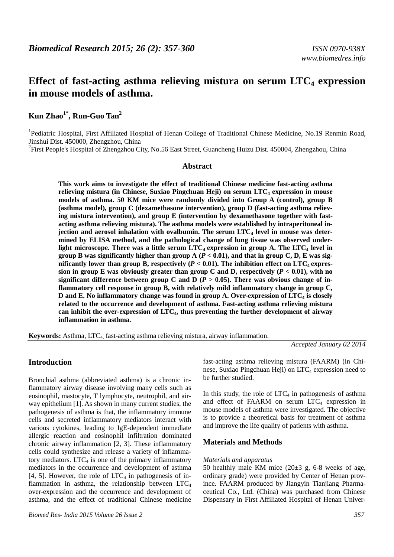# **Effect of fast-acting asthma relieving mistura on serum LTC4 expression in mouse models of asthma.**

**Kun Zhao1\*, Run-Guo Tan<sup>2</sup>**

<sup>1</sup>Pediatric Hospital, First Affiliated Hospital of Henan College of Traditional Chinese Medicine, No.19 Renmin Road, Jinshui Dist. 450000, Zhengzhou, China

<sup>2</sup>First People's Hospital of Zhengzhou City, No.56 East Street, Guancheng Huizu Dist. 450004, Zhengzhou, China

#### **Abstract**

**This work aims to investigate the effect of traditional Chinese medicine fast-acting asthma relieving mistura (in Chinese, Suxiao Pingchuan Heji) on serum LTC4 expression in mouse models of asthma. 50 KM mice were randomly divided into Group A (control), group B (asthma model), group C (dexamethasone intervention), group D (fast-acting asthma relieving mistura intervention), and group E (intervention by dexamethasone together with fastacting asthma relieving mistura). The asthma models were established by intraperitoneal injection and aerosol inhalation with ovalbumin. The serum LTC4 level in mouse was determined by ELISA method, and the pathological change of lung tissue was observed underlight microscope. There was a little serum LTC4 expression in group A. The LTC4 level in group B** was significantly higher than group  $A$  ( $P < 0.01$ ), and that in group C, D, E was significantly lower than group B, respectively  $(P < 0.01)$ . The inhibition effect on LTC<sub>4</sub> expression in group E was obviously greater than group C and D, respectively  $(P < 0.01)$ , with no significant difference between group C and D  $(P > 0.05)$ . There was obvious change of in**flammatory cell response in group B, with relatively mild inflammatory change in group C, D and E. No inflammatory change was found in group A. Over-expression of LTC4 is closely related to the occurrence and development of asthma. Fast-acting asthma relieving mistura can inhibit the over-expression of LTC4, thus preventing the further development of airway inflammation in asthma.** 

**Keywords:** Asthma, LTC4, fast-acting asthma relieving mistura, airway inflammation.

*Accepted January 02 2014* 

## **Introduction**

Bronchial asthma (abbreviated asthma) is a chronic inflammatory airway disease involving many cells such as eosinophil, mastocyte, T lymphocyte, neutrophil, and airway epithelium [1]. As shown in many current studies, the pathogenesis of asthma is that, the inflammatory immune cells and secreted inflammatory mediators interact with various cytokines, leading to IgE-dependent immediate allergic reaction and eosinophil infiltration dominated chronic airway inflammation [2, 3]. These inflammatory cells could synthesize and release a variety of inflammatory mediators.  $LTC_4$  is one of the primary inflammatory mediators in the occurrence and development of asthma [4, 5]. However, the role of  $LTC<sub>4</sub>$  in pathogenesis of inflammation in asthma, the relationship between  $LTC_4$ over-expression and the occurrence and development of asthma, and the effect of traditional Chinese medicine fast-acting asthma relieving mistura (FAARM) (in Chinese, Suxiao Pingchuan Heji) on  $LTC<sub>4</sub>$  expression need to be further studied.

In this study, the role of  $LTC_4$  in pathogenesis of asthma and effect of FAARM on serum  $LTC_4$  expression in mouse models of asthma were investigated. The objective is to provide a theoretical basis for treatment of asthma and improve the life quality of patients with asthma.

# **Materials and Methods**

# *Materials and apparatus*

50 healthly male KM mice  $(20±3 g, 6-8$  weeks of age, ordinary grade) were provided by Center of Henan province. FAARM produced by Jiangyin Tianjiang Pharmaceutical Co., Ltd. (China) was purchased from Chinese Dispensary in First Affiliated Hospital of Henan Univer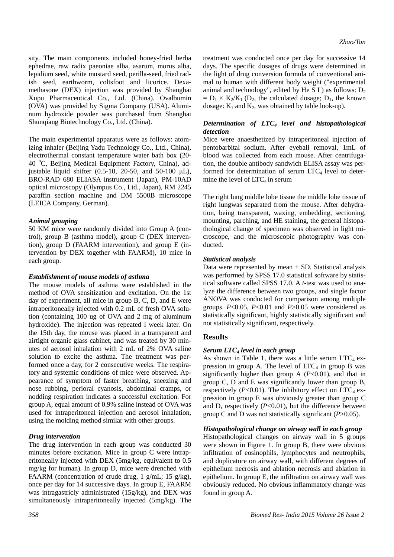sity. The main components included honey-fried herba ephedrae, raw radix paeoniae alba, asarum, morus alba, lepidium seed, white mustard seed, perilla-seed, fried radish seed, earthworm, coltsfoot and licorice. Dexamethasone (DEX) injection was provided by Shanghai Xupu Pharmaceutical Co., Ltd. (China). Ovalbumin (OVA) was provided by Sigma Company (USA). Aluminum hydroxide powder was purchased from Shanghai Shunqiang Biotechnology Co., Ltd. (China).

The main experimental apparatus were as follows: atomizing inhaler (Beijing Yadu Technology Co., Ltd., China), electrothermal constant temperature water bath box (20- 40 °C, Beijing Medical Equipment Factory, China), adjustable liquid shifter (0.5-10, 20-50, and 50-100  $\mu$ L), BRO-RAD 680 ELIASA instrument (Japan), PM-10AD optical microscopy (Olympus Co., Ltd., Japan), RM 2245 paraffin section machine and DM 5500B microscope (LEICA Company, German).

## *Animal grouping*

50 KM mice were randomly divided into Group A (control), group B (asthma model), group C (DEX intervention), group D (FAARM intervention), and group E (intervention by DEX together with FAARM), 10 mice in each group.

#### *Establishment of mouse models of asthma*

The mouse models of asthma were established in the method of OVA sensitization and excitation. On the 1st day of experiment, all mice in group B, C, D, and E were intraperitoneally injected with 0.2 mL of fresh OVA solution (containing 100 ug of OVA and 2 mg of aluminum hydroxide). The injection was repeated l week later. On the 15th day, the mouse was placed in a transparent and airtight organic glass cabinet, and was treated by 30 minutes of aerosol inhalation with 2 mL of 2% OVA saline solution to excite the asthma. The treatment was performed once a day, for 2 consecutive weeks. The respiratory and systemic conditions of mice were observed. Appearance of symptom of faster breathing, sneezing and nose rubbing, perioral cyanosis, abdominal cramps, or nodding respiration indicates a successful excitation. For group A, equal amount of 0.9% saline instead of OVA was used for intraperitoneal injection and aerosol inhalation, using the molding method similar with other groups.

# *Drug intervention*

The drug intervention in each group was conducted 30 minutes before excitation. Mice in group C were intraperitoneally injected with DEX (5mg/kg, equivalent to 0.5 mg/kg for human). In group D, mice were drenched with FAARM (concentration of crude drug, 1 g/mL; 15 g/kg), once per day for 14 successive days. In group E, FAARM was intragastricly administrated (15g/kg), and DEX was simultaneously intraperitoneally injected (5mg/kg). The

treatment was conducted once per day for successive 14 days. The specific dosages of drugs were determined in the light of drug conversion formula of conventional animal to human with different body weight ("experimental animal and technology", edited by He S L) as follows:  $D_2$  $= D_1 \times K_2/K_1$  (D<sub>2</sub>, the calculated dosage; D<sub>1</sub>, the known dosage:  $K_1$  and  $K_2$ , was obtained by table look-up).

## *Determination of LTC4 level and histopathological detection*

Mice were anaesthetized by intraperitoneal injection of pentobarbital sodium. After eyeball removal, 1mL of blood was collected from each mouse. After centrifugation, the double antibody sandwich ELISA assay was performed for determination of serum  $LTC_4$  level to determine the level of  $LTC_4$  in serum

The right lung middle lobe tissue the middle lobe tissue of right lungwas separated from the mouse. After dehydration, being transparent, waxing, embedding, sectioning, mounting, parching, and HE staining, the general histopathological change of specimen was observed in light microscope, and the microscopic photography was conducted.

## *Statistical analysis*

Data were represented by mean  $\pm$  SD. Statistical analysis was performed by SPSS 17.0 statistical software by statistical software called SPSS 17.0. A *t*-test was used to analyze the difference between two groups, and single factor ANOVA was conducted for comparison among multiple groups. *P*<0.05, *P*<0.01 and *P*>0.05 were considered as statistically significant, highly statistically significant and not statistically significant, respectively.

# **Results**

# *Serum LTC4 level in each group*

As shown in Table 1, there was a little serum  $LTC_4$  expression in group A. The level of  $LTC_4$  in group B was significantly higher than group A  $(P<0.01)$ , and that in group C, D and E was significantly lower than group B, respectively  $(P<0.01)$ . The inhibitory effect on LTC<sub>4</sub> expression in group E was obviously greater than group C and D, respectively  $(P<0.01)$ , but the difference between group C and D was not statistically significant (*P*>0.05).

#### *Histopathological change on airway wall in each group*

Histopathological changes on airway wall in 5 groups were shown in Figure 1. In group B, there were obvious infiltration of eosinophils, lymphocytes and neutrophils, and duplicature on airway wall, with different degrees of epithelium necrosis and ablation necrosis and ablation in epithelium. In group E, the infiltration on airway wall was obviously reduced. No obvious inflammatory change was found in group A.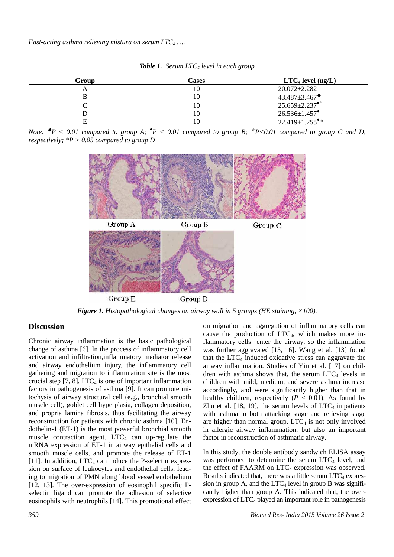*Fast-acting asthma relieving mistura on serum LTC4 ….* 

| Group | Cases | $LTC4$ level (ng/L)              |
|-------|-------|----------------------------------|
| A     | 10    | $20.072 \pm 2.282$               |
| B     | 10    | $43.487 \pm 3.467$               |
|       | 10    | $25.659 \pm 2.237$ <sup>**</sup> |
|       | 10    | $26.536 \pm 1.457$ <sup>*</sup>  |
| Е     | 10    | $22.419 \pm 1.255$ <sup>**</sup> |

*Table 1. Serum LTC4 level in each group* 

*Note:*  $\blacklozenge P$  < 0.01 compared to group A;  $\blacklozenge P$  < 0.01 compared to group B;  $\blacklozenge P$  < 0.01 compared to group C and D, *respectively; \*P > 0.05 compared to group D* 



*Figure 1. Histopathological changes on airway wall in 5 groups (HE staining, ×100).* 

#### **Discussion**

Chronic airway inflammation is the basic pathological change of asthma [6]. In the process of inflammatory cell activation and infiltration,inflammatory mediator release and airway endothelium injury, the inflammatory cell gathering and migration to inflammation site is the most crucial step  $[7, 8]$ . LTC<sub>4</sub> is one of important inflammation factors in pathogenesis of asthma [9]. It can promote mitochysis of airway structural cell (e.g., bronchial smooth muscle cell), goblet cell hyperplasia, collagen deposition, and propria lamina fibrosis, thus facilitating the airway reconstruction for patients with chronic asthma [10]. Endothelin-1 (ET-1) is the most powerful bronchial smooth muscle contraction agent.  $LTC_4$  can up-regulate the mRNA expression of ET-1 in airway epithelial cells and smooth muscle cells, and promote the release of ET-1 [11]. In addition,  $LTC<sub>4</sub>$  can induce the P-selectin expression on surface of leukocytes and endothelial cells, leading to migration of PMN along blood vessel endothelium [12, 13]. The over-expression of eosinophil specific Pselectin ligand can promote the adhesion of selective eosinophils with neutrophils [14]. This promotional effect

on migration and aggregation of inflammatory cells can cause the production of LTC4, which makes more inflammatory cells enter the airway, so the inflammation was further aggravated [15, 16]. Wang et al. [13] found that the  $LTC_4$  induced oxidative stress can aggravate the airway inflammation. Studies of Yin et al. [17] on children with asthma shows that, the serum  $LTC_4$  levels in children with mild, medium, and severe asthma increase accordingly, and were significantly higher than that in healthy children, respectively ( $P < 0.01$ ). As found by Zhu et al.  $[18, 19]$ , the serum levels of LTC<sub>4</sub> in patients with asthma in both attacking stage and relieving stage are higher than normal group.  $LTC_4$  is not only involved in allergic airway inflammation, but also an important factor in reconstruction of asthmatic airway.

In this study, the double antibody sandwich ELISA assay was performed to determine the serum  $LTC_4$  level, and the effect of FAARM on  $LTC<sub>4</sub>$  expression was observed. Results indicated that, there was a little serum  $LTC_4$  expression in group A, and the  $LTC<sub>4</sub>$  level in group B was significantly higher than group A. This indicated that, the overexpression of  $LTC<sub>4</sub>$  played an important role in pathogenesis